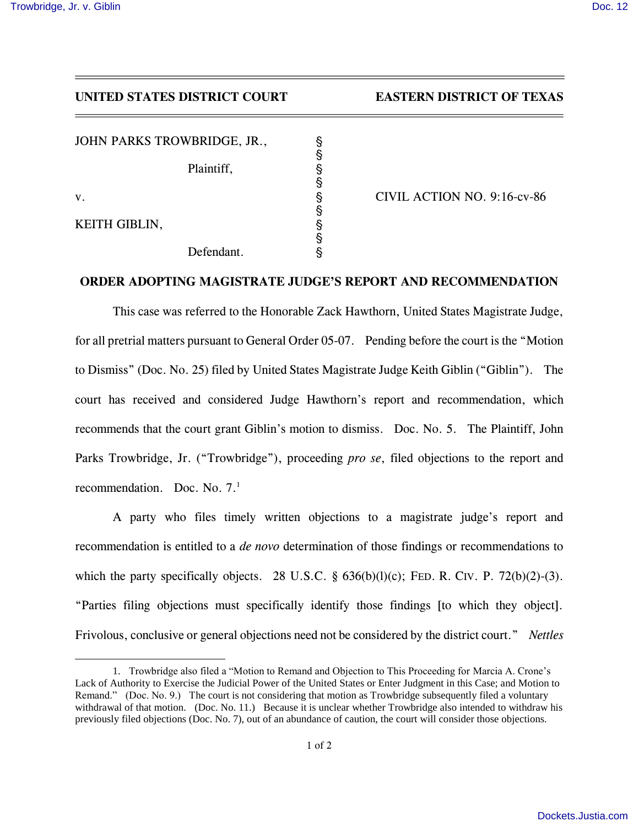## *UNITED STATES DISTRICT COURT EASTERN DISTRICT OF TEXAS*

*JOHN PARKS TROWBRIDGE, JR.,* '

*Plaintiff,* '

 $\overline{a}$ 

*KEITH GIBLIN,* '

*Defendant.* '

*v.* ' *CIVIL ACTION NO. 9:16-cv-86*

## *ORDER ADOPTING MAGISTRATE JUDGE'S REPORT AND RECOMMENDATION*

§

§

§

§

*This case was referred to the Honorable Zack Hawthorn, United States Magistrate Judge, for all pretrial matters pursuant to General Order 05-07. Pending before the court is the "Motion to Dismiss" (Doc. No. 25) filed by United States Magistrate Judge Keith Giblin ("Giblin"). The court has received and considered Judge Hawthorn's report and recommendation, which recommends that the court grant Giblin's motion to dismiss. Doc. No. 5. The Plaintiff, John Parks Trowbridge, Jr. ("Trowbridge"), proceeding pro se, filed objections to the report and recommendation. Doc. No. 7. 1*

*A party who files timely written objections to a magistrate judge's report and recommendation is entitled to a de novo determination of those findings or recommendations to which the party specifically objects. 28 U.S.C. § 636(b)(l)(c); FED. R. CIV. P. 72(b)(2)-(3). "Parties filing objections must specifically identify those findings [to which they object]. Frivolous, conclusive or general objections need not be considered by the district court." Nettles* 

<sup>1.</sup> Trowbridge also filed a "Motion to Remand and Objection to This Proceeding for Marcia A. Crone's Lack of Authority to Exercise the Judicial Power of the United States or Enter Judgment in this Case; and Motion to Remand." (Doc. No. 9.) The court is not considering that motion as Trowbridge subsequently filed a voluntary withdrawal of that motion. (Doc. No. 11.) Because it is unclear whether Trowbridge also intended to withdraw his previously filed objections (Doc. No. 7), out of an abundance of caution, the court will consider those objections.